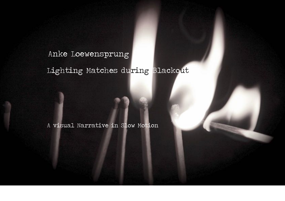# Lighting Matches during Blackout Anke Loewensprung

A visual Narrative in Slow Motion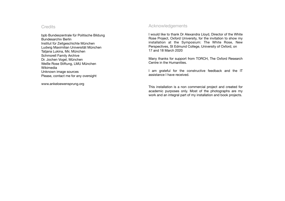# **Credits**

bpb Bundeszentrale für Politische Bildung Bundesarchiv Berlin Institut für Zeitgeschichte München Ludwig Maximilian Universität München Tatjana Lukina, Mir, München Schmorell Family Archive Dr. Jochen Vogel, München Weiße Rose Stiftung, LMU München Wikimedia Unknown image sources Please, contact me for any oversight

[www.ankeloewensprung.org](http://www.ankeloewensprung.org)

# Acknowledgements

I would like to thank Dr Alexandra Lloyd, Director of the White Rose Project, Oxford University, for the invitation to show my installation at the Symposium: The White Rose, New Perspectives, St Edmund College, University of Oxford, on 17 and 18 March 2020

Many thanks for support from TORCH, The Oxford Research Centre in the Humanities.

I am grateful for the constructive feedback and the IT assistance I have received.

This installation is a non commercial project and created for academic purposes only. Most of the photographs are my work and an integral part of my installation and book projects.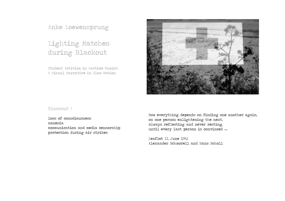Anke Loewensprung

# Lighting Matches during Blackout

Student Activism in Wartime Munich A Visual Narrative in Slow Motion



### Blackout ?

loss of consciousness amnesia communication and media censorship protection during air strikes

Now everything depends on finding one another again, on one person enlightening the next, always reflecting and never resting, until every last person is convinced ….

Leaflet II, June 1942 Alexander Schmorell and Hans Scholl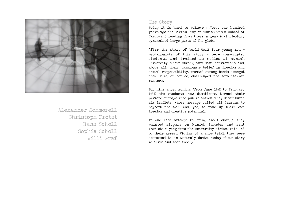

Alexander Schmorell Christoph Probst Hans Scholl Sophie Scholl Willi Graf

### The Story

Today it is hard to believe : About one hundred years ago the German City of Munich was a hotbed of Fascism. Spreading from there, a genocidal ideology tyrannised large parts of the globe.

After the start of World War2, four young men protagonists of this story — were conscripted students, and trained as medics at Munich University. Their strong anti-Nazi convictions and, above all, their passionate belief in freedom and social responsibility, created strong bonds amongst them. This, of course, challenged the totalitarian 'masters'.

For nine short months, (from June 1942 to February 1943) the students, now dissidents, turned their private outrage into public action. They distributed six leaflets, whose message called all Germans to boycott the war. And, yes, to take up their own freedom and creative potential.

In one last attempt to bring about change, they painted slogans on Munich facades and sent leaflets flying into the university atrium. This led to their arrest. Victims of a show trial, they were sentenced to an untimely death. Today their story is alive and most timely.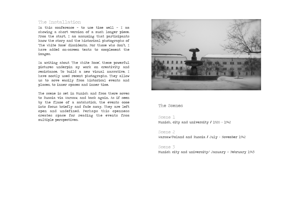# The Installation

In this conference - to use time well - I am showing a short version of a much longer piece. From the start, I am assuming that participants know the story and the historical photographs of 'The White Rose' dissidents. For those who don't, I have added on-screen texts to complement the images.

In writing about 'The White Rose', these powerful pictures underpin my work on creativity and resistance. To build a new visual narrative, I have mostly used recent photographs. They allow us to move easily from historical events and places, to inner spaces and inner time.

The scene is set in Munich and from there moves to Russia via Warsaw, and back again. As if seen by the flame of a matchstick, the events come into focus briefly and fade away. They are left open and undefined. Perhaps this openness creates space for reading the events from multiple perspectives.



#### The Scenes

#### Scene 1

Munich, city and university **/** 1920 - 1942

#### Scene 2

Warsaw/Poland and Russia **/** July - November 1942

#### Scene 3

Munich city and university/ January — February 1943